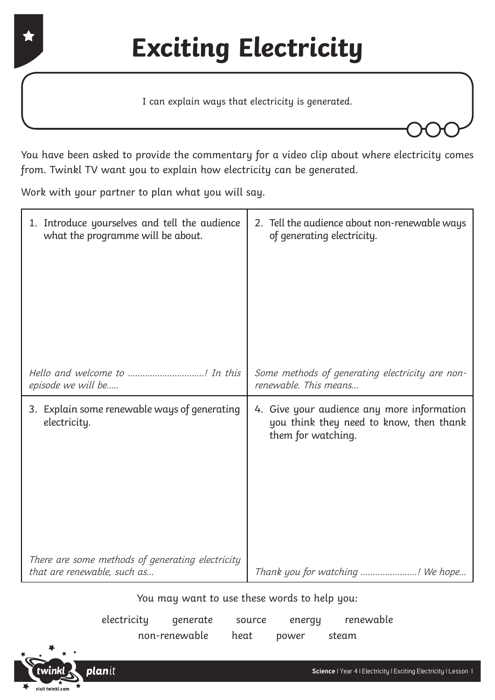I can explain ways that electricity is generated.

You have been asked to provide the commentary for a video clip about where electricity comes from. Twinkl TV want you to explain how electricity can be generated.

Work with your partner to plan what you will say.

| 1. Introduce yourselves and tell the audience<br>what the programme will be about. | 2. Tell the audience about non-renewable ways<br>of generating electricity.                                 |  |  |
|------------------------------------------------------------------------------------|-------------------------------------------------------------------------------------------------------------|--|--|
|                                                                                    |                                                                                                             |  |  |
| Hello and welcome to ! In this<br>episode we will be                               | Some methods of generating electricity are non-<br>renewable. This means                                    |  |  |
| 3. Explain some renewable ways of generating<br>electricity.                       | 4. Give your audience any more information<br>you think they need to know, then thank<br>them for watching. |  |  |
| There are some methods of generating electricity<br>that are renewable, such as    | Thank you for watching ! We hope                                                                            |  |  |
|                                                                                    | $-1$ $-1$ $-1$ $-1$                                                                                         |  |  |

You may want to use these words to help you:

| electricity | generate      | source | energy | renewable |
|-------------|---------------|--------|--------|-----------|
|             | non-renewable | heat   | power  | steam     |

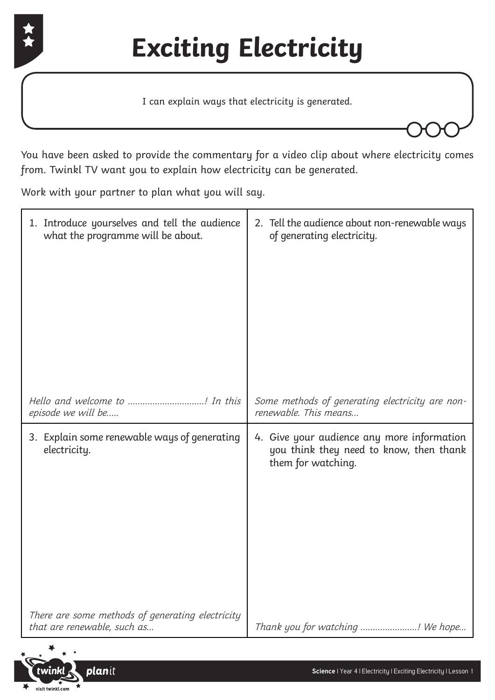

I can explain ways that electricity is generated.

You have been asked to provide the commentary for a video clip about where electricity comes from. Twinkl TV want you to explain how electricity can be generated.

Work with your partner to plan what you will say.

| 1. Introduce yourselves and tell the audience                                   | 2. Tell the audience about non-renewable ways                                                               |
|---------------------------------------------------------------------------------|-------------------------------------------------------------------------------------------------------------|
| what the programme will be about.                                               | of generating electricity.                                                                                  |
| Hello and welcome to ! In this                                                  | Some methods of generating electricity are non-                                                             |
| episode we will be                                                              | renewable. This means                                                                                       |
| 3. Explain some renewable ways of generating<br>electricity.                    | 4. Give your audience any more information<br>you think they need to know, then thank<br>them for watching. |
| There are some methods of generating electricity<br>that are renewable, such as | Thank you for watching ! We hope                                                                            |